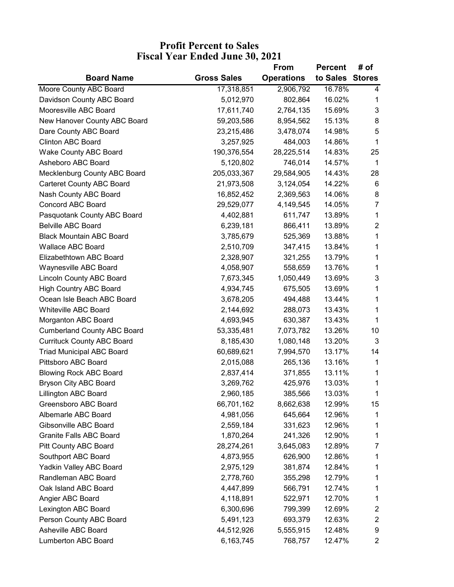## **Profit Percent to Sales Fiscal Year Ended June 30, 2021**

|                                    |                    | From              | <b>Percent</b>  | # of                    |
|------------------------------------|--------------------|-------------------|-----------------|-------------------------|
| <b>Board Name</b>                  | <b>Gross Sales</b> | <b>Operations</b> | to Sales Stores |                         |
| Moore County ABC Board             | 17,318,851         | 2,906,792         | 16.78%          | 4                       |
| Davidson County ABC Board          | 5,012,970          | 802,864           | 16.02%          | 1                       |
| Mooresville ABC Board              | 17,611,740         | 2,764,135         | 15.69%          | $\mathbf{3}$            |
| New Hanover County ABC Board       | 59,203,586         | 8,954,562         | 15.13%          | 8                       |
| Dare County ABC Board              | 23,215,486         | 3,478,074         | 14.98%          | 5                       |
| <b>Clinton ABC Board</b>           | 3,257,925          | 484,003           | 14.86%          | 1                       |
| <b>Wake County ABC Board</b>       | 190,376,554        | 28,225,514        | 14.83%          | 25                      |
| Asheboro ABC Board                 | 5,120,802          | 746,014           | 14.57%          | $\mathbf 1$             |
| Mecklenburg County ABC Board       | 205,033,367        | 29,584,905        | 14.43%          | 28                      |
| <b>Carteret County ABC Board</b>   | 21,973,508         | 3,124,054         | 14.22%          | 6                       |
| Nash County ABC Board              | 16,852,452         | 2,369,563         | 14.06%          | 8                       |
| <b>Concord ABC Board</b>           | 29,529,077         | 4,149,545         | 14.05%          | $\overline{7}$          |
| Pasquotank County ABC Board        | 4,402,881          | 611,747           | 13.89%          | 1                       |
| <b>Belville ABC Board</b>          | 6,239,181          | 866,411           | 13.89%          | $\overline{2}$          |
| <b>Black Mountain ABC Board</b>    | 3,785,679          | 525,369           | 13.88%          | 1                       |
| <b>Wallace ABC Board</b>           | 2,510,709          | 347,415           | 13.84%          | 1                       |
| Elizabethtown ABC Board            | 2,328,907          | 321,255           | 13.79%          | 1                       |
| Waynesville ABC Board              | 4,058,907          | 558,659           | 13.76%          | 1                       |
| <b>Lincoln County ABC Board</b>    | 7,673,345          | 1,050,449         | 13.69%          | 3                       |
| <b>High Country ABC Board</b>      | 4,934,745          | 675,505           | 13.69%          | 1                       |
| Ocean Isle Beach ABC Board         | 3,678,205          | 494,488           | 13.44%          | 1                       |
| <b>Whiteville ABC Board</b>        | 2,144,692          | 288,073           | 13.43%          | 1                       |
| Morganton ABC Board                | 4,693,945          | 630,387           | 13.43%          | 1                       |
| <b>Cumberland County ABC Board</b> | 53,335,481         | 7,073,782         | 13.26%          | 10                      |
| <b>Currituck County ABC Board</b>  | 8,185,430          | 1,080,148         | 13.20%          | 3                       |
| <b>Triad Municipal ABC Board</b>   | 60,689,621         | 7,994,570         | 13.17%          | 14                      |
| Pittsboro ABC Board                | 2,015,088          | 265,136           | 13.16%          | 1                       |
| <b>Blowing Rock ABC Board</b>      | 2,837,414          | 371,855           | 13.11%          | 1                       |
| <b>Bryson City ABC Board</b>       | 3,269,762          | 425,976           | 13.03%          | 1                       |
| <b>Lillington ABC Board</b>        | 2,960,185          | 385,566           | 13.03%          | 1                       |
| Greensboro ABC Board               | 66,701,162         | 8,662,638         | 12.99%          | 15                      |
| Albemarle ABC Board                | 4,981,056          | 645,664           | 12.96%          | 1                       |
| Gibsonville ABC Board              | 2,559,184          | 331,623           | 12.96%          | 1                       |
| <b>Granite Falls ABC Board</b>     | 1,870,264          | 241,326           | 12.90%          | 1                       |
| Pitt County ABC Board              | 28,274,261         | 3,645,083         | 12.89%          | 7                       |
| Southport ABC Board                | 4,873,955          | 626,900           | 12.86%          | 1                       |
| Yadkin Valley ABC Board            | 2,975,129          | 381,874           | 12.84%          | 1                       |
| Randleman ABC Board                | 2,778,760          | 355,298           | 12.79%          | 1                       |
| Oak Island ABC Board               | 4,447,899          | 566,791           | 12.74%          | 1                       |
| Angier ABC Board                   | 4,118,891          | 522,971           | 12.70%          | 1                       |
| Lexington ABC Board                | 6,300,696          | 799,399           | 12.69%          | 2                       |
| Person County ABC Board            | 5,491,123          | 693,379           | 12.63%          | $\overline{\mathbf{c}}$ |
| Asheville ABC Board                | 44,512,926         | 5,555,915         | 12.48%          | 9                       |
| <b>Lumberton ABC Board</b>         | 6,163,745          | 768,757           | 12.47%          | 2                       |
|                                    |                    |                   |                 |                         |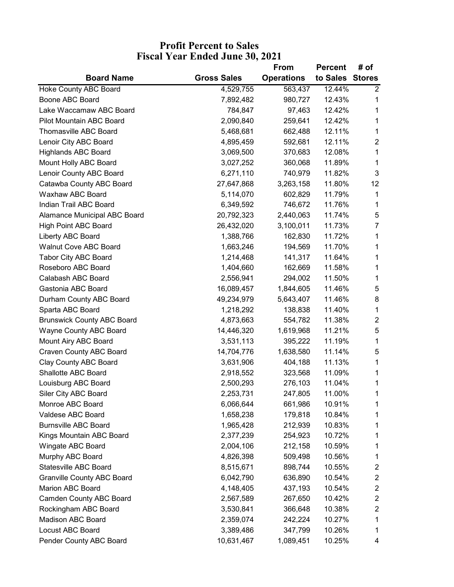## **Profit Percent to Sales Fiscal Year Ended June 30, 2021**

|                                   |                    | From              | Percent         | # of                    |
|-----------------------------------|--------------------|-------------------|-----------------|-------------------------|
| <b>Board Name</b>                 | <b>Gross Sales</b> | <b>Operations</b> | to Sales Stores |                         |
| <b>Hoke County ABC Board</b>      | 4,529,755          | 563,437           | 12.44%          | $\overline{2}$          |
| Boone ABC Board                   | 7,892,482          | 980,727           | 12.43%          | 1                       |
| Lake Waccamaw ABC Board           | 784,847            | 97,463            | 12.42%          | 1                       |
| Pilot Mountain ABC Board          | 2,090,840          | 259,641           | 12.42%          | 1                       |
| Thomasville ABC Board             | 5,468,681          | 662,488           | 12.11%          | 1                       |
| Lenoir City ABC Board             | 4,895,459          | 592,681           | 12.11%          | $\overline{2}$          |
| <b>Highlands ABC Board</b>        | 3,069,500          | 370,683           | 12.08%          | 1                       |
| Mount Holly ABC Board             | 3,027,252          | 360,068           | 11.89%          | 1                       |
| Lenoir County ABC Board           | 6,271,110          | 740,979           | 11.82%          | 3                       |
| Catawba County ABC Board          | 27,647,868         | 3,263,158         | 11.80%          | 12                      |
| Waxhaw ABC Board                  | 5,114,070          | 602,829           | 11.79%          | 1                       |
| Indian Trail ABC Board            | 6,349,592          | 746,672           | 11.76%          | 1                       |
| Alamance Municipal ABC Board      | 20,792,323         | 2,440,063         | 11.74%          | 5                       |
| <b>High Point ABC Board</b>       | 26,432,020         | 3,100,011         | 11.73%          | $\overline{7}$          |
| Liberty ABC Board                 | 1,388,766          | 162,830           | 11.72%          | 1                       |
| <b>Walnut Cove ABC Board</b>      | 1,663,246          | 194,569           | 11.70%          | 1                       |
| <b>Tabor City ABC Board</b>       | 1,214,468          | 141,317           | 11.64%          | 1                       |
| Roseboro ABC Board                | 1,404,660          | 162,669           | 11.58%          | 1                       |
| Calabash ABC Board                | 2,556,941          | 294,002           | 11.50%          | 1                       |
| Gastonia ABC Board                | 16,089,457         | 1,844,605         | 11.46%          | 5                       |
| Durham County ABC Board           | 49,234,979         | 5,643,407         | 11.46%          | 8                       |
| Sparta ABC Board                  | 1,218,292          | 138,838           | 11.40%          | 1                       |
| <b>Brunswick County ABC Board</b> | 4,873,663          | 554,782           | 11.38%          | $\overline{c}$          |
| Wayne County ABC Board            | 14,446,320         | 1,619,968         | 11.21%          | 5                       |
| Mount Airy ABC Board              | 3,531,113          | 395,222           | 11.19%          | 1                       |
| <b>Craven County ABC Board</b>    | 14,704,776         | 1,638,580         | 11.14%          | 5                       |
| Clay County ABC Board             | 3,631,906          | 404,188           | 11.13%          | 1                       |
| Shallotte ABC Board               | 2,918,552          | 323,568           | 11.09%          | 1                       |
| Louisburg ABC Board               | 2,500,293          | 276,103           | 11.04%          | 1                       |
| Siler City ABC Board              | 2,253,731          | 247,805           | 11.00%          | 1                       |
| Monroe ABC Board                  | 6,066,644          | 661,986           | 10.91%          | 1                       |
| Valdese ABC Board                 | 1,658,238          | 179,818           | 10.84%          | 1                       |
| <b>Burnsville ABC Board</b>       | 1,965,428          | 212,939           | 10.83%          | 1                       |
| Kings Mountain ABC Board          | 2,377,239          | 254,923           | 10.72%          | 1                       |
| Wingate ABC Board                 | 2,004,106          | 212,158           | 10.59%          | 1                       |
| Murphy ABC Board                  | 4,826,398          | 509,498           | 10.56%          | 1                       |
| <b>Statesville ABC Board</b>      | 8,515,671          | 898,744           | 10.55%          | $\overline{\mathbf{c}}$ |
| <b>Granville County ABC Board</b> | 6,042,790          | 636,890           | 10.54%          | $\overline{\mathbf{c}}$ |
| Marion ABC Board                  | 4,148,405          | 437,193           | 10.54%          | $\overline{\mathbf{c}}$ |
| <b>Camden County ABC Board</b>    | 2,567,589          | 267,650           | 10.42%          | $\overline{\mathbf{c}}$ |
| Rockingham ABC Board              | 3,530,841          | 366,648           | 10.38%          | 2                       |
| Madison ABC Board                 | 2,359,074          | 242,224           | 10.27%          | 1                       |
| Locust ABC Board                  | 3,389,486          | 347,799           | 10.26%          | 1                       |
| Pender County ABC Board           | 10,631,467         | 1,089,451         | 10.25%          | 4                       |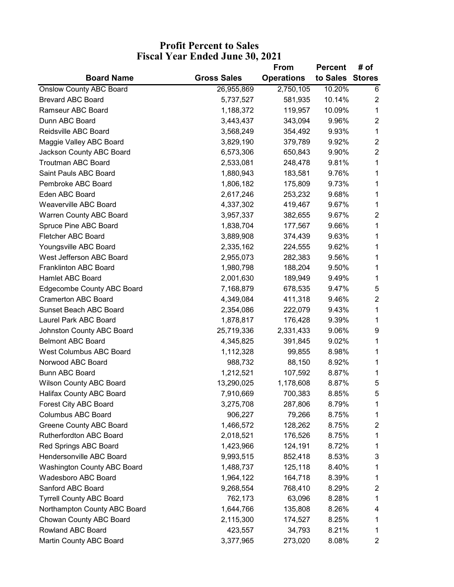## **Fiscal Year Ended June 30, 2021 Profit Percent to Sales**

|                                    |                    | From              | Percent         | # of                    |
|------------------------------------|--------------------|-------------------|-----------------|-------------------------|
| <b>Board Name</b>                  | <b>Gross Sales</b> | <b>Operations</b> | to Sales Stores |                         |
| <b>Onslow County ABC Board</b>     | 26,955,869         | 2,750,105         | 10.20%          | 6                       |
| <b>Brevard ABC Board</b>           | 5,737,527          | 581,935           | 10.14%          | $\overline{c}$          |
| Ramseur ABC Board                  | 1,188,372          | 119,957           | 10.09%          | 1                       |
| Dunn ABC Board                     | 3,443,437          | 343,094           | 9.96%           | $\overline{2}$          |
| Reidsville ABC Board               | 3,568,249          | 354,492           | 9.93%           | 1                       |
| Maggie Valley ABC Board            | 3,829,190          | 379,789           | 9.92%           | $\overline{2}$          |
| Jackson County ABC Board           | 6,573,306          | 650,843           | 9.90%           | $\overline{c}$          |
| <b>Troutman ABC Board</b>          | 2,533,081          | 248,478           | 9.81%           | 1                       |
| Saint Pauls ABC Board              | 1,880,943          | 183,581           | 9.76%           | 1                       |
| Pembroke ABC Board                 | 1,806,182          | 175,809           | 9.73%           | 1                       |
| Eden ABC Board                     | 2,617,246          | 253,232           | 9.68%           | 1                       |
| <b>Weaverville ABC Board</b>       | 4,337,302          | 419,467           | 9.67%           | 1                       |
| Warren County ABC Board            | 3,957,337          | 382,655           | 9.67%           | $\overline{2}$          |
| Spruce Pine ABC Board              | 1,838,704          | 177,567           | 9.66%           | 1                       |
| Fletcher ABC Board                 | 3,889,908          | 374,439           | 9.63%           | 1                       |
| Youngsville ABC Board              | 2,335,162          | 224,555           | 9.62%           | 1                       |
| West Jefferson ABC Board           | 2,955,073          | 282,383           | 9.56%           | 1                       |
| <b>Franklinton ABC Board</b>       | 1,980,798          | 188,204           | 9.50%           | 1                       |
| Hamlet ABC Board                   | 2,001,630          | 189,949           | 9.49%           | 1                       |
| <b>Edgecombe County ABC Board</b>  | 7,168,879          | 678,535           | 9.47%           | 5                       |
| <b>Cramerton ABC Board</b>         | 4,349,084          | 411,318           | 9.46%           | $\overline{2}$          |
| Sunset Beach ABC Board             | 2,354,086          | 222,079           | 9.43%           | 1                       |
| Laurel Park ABC Board              | 1,878,817          | 176,428           | 9.39%           | 1                       |
| Johnston County ABC Board          | 25,719,336         | 2,331,433         | 9.06%           | 9                       |
| <b>Belmont ABC Board</b>           | 4,345,825          | 391,845           | 9.02%           | 1                       |
| <b>West Columbus ABC Board</b>     | 1,112,328          | 99,855            | 8.98%           | 1                       |
| Norwood ABC Board                  | 988,732            | 88,150            | 8.92%           | 1                       |
| <b>Bunn ABC Board</b>              | 1,212,521          | 107,592           | 8.87%           | 1                       |
| <b>Wilson County ABC Board</b>     | 13,290,025         | 1,178,608         | 8.87%           | 5                       |
| Halifax County ABC Board           | 7,910,669          | 700,383           | 8.85%           | 5                       |
| Forest City ABC Board              | 3,275,708          | 287,806           | 8.79%           | 1                       |
| <b>Columbus ABC Board</b>          | 906,227            | 79,266            | 8.75%           | 1                       |
| Greene County ABC Board            | 1,466,572          | 128,262           | 8.75%           | $\overline{\mathbf{c}}$ |
| <b>Rutherfordton ABC Board</b>     | 2,018,521          | 176,526           | 8.75%           | 1                       |
| Red Springs ABC Board              | 1,423,966          | 124,191           | 8.72%           | 1                       |
| Hendersonville ABC Board           | 9,993,515          | 852,418           | 8.53%           | 3                       |
| <b>Washington County ABC Board</b> | 1,488,737          | 125,118           | 8.40%           | 1                       |
| <b>Wadesboro ABC Board</b>         | 1,964,122          | 164,718           | 8.39%           | 1                       |
| Sanford ABC Board                  | 9,268,554          | 768,410           | 8.29%           | $\overline{\mathbf{c}}$ |
| <b>Tyrrell County ABC Board</b>    | 762,173            | 63,096            | 8.28%           | 1                       |
| Northampton County ABC Board       | 1,644,766          | 135,808           | 8.26%           | 4                       |
| Chowan County ABC Board            | 2,115,300          | 174,527           | 8.25%           | 1                       |
| Rowland ABC Board                  | 423,557            | 34,793            | 8.21%           | 1                       |
| Martin County ABC Board            | 3,377,965          | 273,020           | 8.08%           | 2                       |